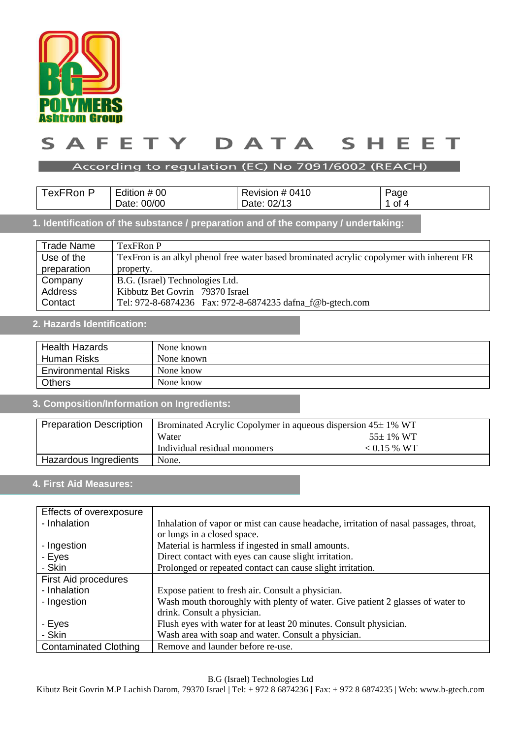

#### ETY DATA SAF  $S$ н. E F т

#### According to regulation (EC) No 7091/6002 (REACH)

| $ -$<br>⊺ex⊦Ron P | Edition # 00   | Revision # 0410 | Page |
|-------------------|----------------|-----------------|------|
|                   | 00/00<br>Date: | Date: 02/13     | ot 4 |

# **1. Identification of the substance / preparation and of the company / undertaking:**

| <b>Trade Name</b> | TexFRon P                                                                                  |  |  |
|-------------------|--------------------------------------------------------------------------------------------|--|--|
| Use of the        | Tex Fron is an alkyl phenol free water based brominated acrylic copolymer with inherent FR |  |  |
| preparation       | property.                                                                                  |  |  |
| Company           | B.G. (Israel) Technologies Ltd.                                                            |  |  |
| Address           | Kibbutz Bet Govrin 79370 Israel                                                            |  |  |
| Contact           | Tel: 972-8-6874236 Fax: 972-8-6874235 dafna_f@b-gtech.com                                  |  |  |

#### **2. Hazards Identification:**

| <b>Health Hazards</b>      | None known |
|----------------------------|------------|
| Human Risks                | None known |
| <b>Environmental Risks</b> | None know  |
| <b>Others</b>              | None know  |

## **3. Composition/Information on Ingredients:**

| <b>Preparation Description</b> | Brominated Acrylic Copolymer in aqueous dispersion 45±1% WT |               |
|--------------------------------|-------------------------------------------------------------|---------------|
|                                | Water                                                       | $55\pm1\%$ WT |
|                                | Individual residual monomers                                | $< 0.15 %$ WT |
| Hazardous Ingredients          | None.                                                       |               |

### **4. First Aid Measures:**

| Effects of overexposure      |                                                                                       |  |
|------------------------------|---------------------------------------------------------------------------------------|--|
| - Inhalation                 | Inhalation of vapor or mist can cause headache, irritation of nasal passages, throat, |  |
|                              | or lungs in a closed space.                                                           |  |
| - Ingestion                  | Material is harmless if ingested in small amounts.                                    |  |
| - Eyes                       | Direct contact with eyes can cause slight irritation.                                 |  |
| - Skin                       | Prolonged or repeated contact can cause slight irritation.                            |  |
| <b>First Aid procedures</b>  |                                                                                       |  |
| - Inhalation                 | Expose patient to fresh air. Consult a physician.                                     |  |
| - Ingestion                  | Wash mouth thoroughly with plenty of water. Give patient 2 glasses of water to        |  |
|                              | drink. Consult a physician.                                                           |  |
| - Eyes                       | Flush eyes with water for at least 20 minutes. Consult physician.                     |  |
| - Skin                       | Wash area with soap and water. Consult a physician.                                   |  |
| <b>Contaminated Clothing</b> | Remove and launder before re-use.                                                     |  |

B.G (Israel) Technologies Ltd

Kibutz Beit Govrin M.P Lachish Darom, 79370 Israel | Tel: + 972 8 6874236 | Fax: + 972 8 6874235 | Web: www.b-gtech.com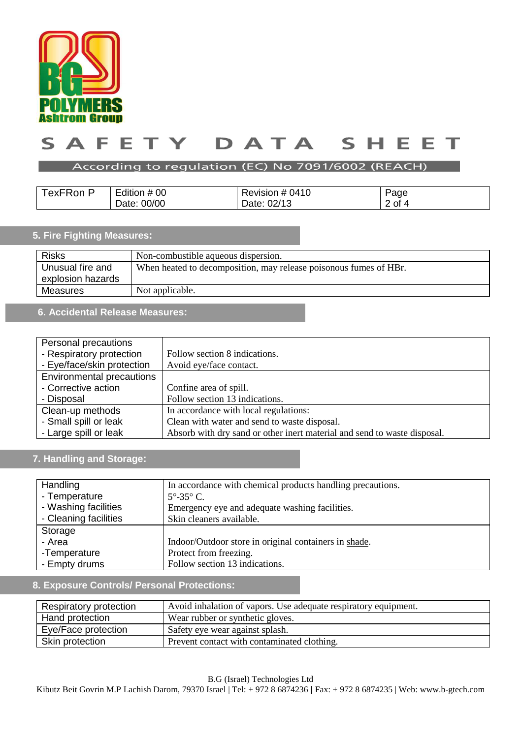

#### ETY DATA  $\mathsf{s}$ A F  $\mathsf{s}$ н. Е E т

#### According to regulation (EC) No 7091/6002 (REACH)

| TexFRon P | Edition # 00 | Revision # 0410 | Page     |
|-----------|--------------|-----------------|----------|
|           | Date: 00/00  | Date: 02/13     | $2$ of 4 |

# **5. Fire Fighting Measures:**

| <b>Risks</b>                          | Non-combustible aqueous dispersion.                               |
|---------------------------------------|-------------------------------------------------------------------|
| Unusual fire and<br>explosion hazards | When heated to decomposition, may release poisonous fumes of HBr. |
| Measures                              | Not applicable.                                                   |

### **6. Accidental Release Measures:**

| Personal precautions             |                                                                          |
|----------------------------------|--------------------------------------------------------------------------|
| - Respiratory protection         | Follow section 8 indications.                                            |
| - Eye/face/skin protection       | Avoid eye/face contact.                                                  |
| <b>Environmental precautions</b> |                                                                          |
| - Corrective action              | Confine area of spill.                                                   |
| - Disposal                       | Follow section 13 indications.                                           |
| Clean-up methods                 | In accordance with local regulations:                                    |
| - Small spill or leak            | Clean with water and send to waste disposal.                             |
| - Large spill or leak            | Absorb with dry sand or other inert material and send to waste disposal. |

# **7. Handling and Storage:**

| Handling              | In accordance with chemical products handling precautions. |
|-----------------------|------------------------------------------------------------|
| - Temperature         | $5^{\circ}$ -35 $^{\circ}$ C.                              |
| - Washing facilities  | Emergency eye and adequate washing facilities.             |
| - Cleaning facilities | Skin cleaners available.                                   |
| Storage               |                                                            |
| - Area                | Indoor/Outdoor store in original containers in shade.      |
| -Temperature          | Protect from freezing.                                     |
| - Empty drums         | Follow section 13 indications.                             |

# **8. Exposure Controls/ Personal Protections:**

| Respiratory protection | Avoid inhalation of vapors. Use adequate respiratory equipment. |
|------------------------|-----------------------------------------------------------------|
| Hand protection        | Wear rubber or synthetic gloves.                                |
| Eye/Face protection    | Safety eye wear against splash.                                 |
| Skin protection        | Prevent contact with contaminated clothing.                     |

B.G (Israel) Technologies Ltd

Kibutz Beit Govrin M.P Lachish Darom, 79370 Israel | Tel: + 972 8 6874236 | Fax: + 972 8 6874235 | Web: www.b-gtech.com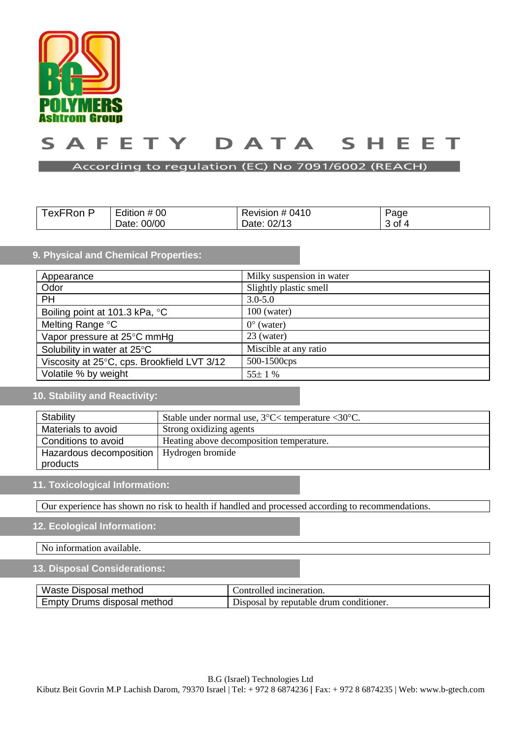

#### DATA **AF** F. TY T ς S н. E E т

#### According to regulation (EC) No 7091/6002 (REACH)

| . .<br>lexFRon, | .<br>Edition # 00 | Revision # 0410 | Page     |
|-----------------|-------------------|-----------------|----------|
|                 | 00/00<br>Date:    | 02/1<br>Date:   | – 4 of ∆ |

### **9. Physical and Chemical Properties:**

| Appearance                                  | Milky suspension in water |
|---------------------------------------------|---------------------------|
| Odor                                        | Slightly plastic smell    |
| <b>PH</b>                                   | $3.0 - 5.0$               |
| Boiling point at 101.3 kPa, °C              | $100$ (water)             |
| Melting Range °C                            | $0^{\circ}$ (water)       |
| Vapor pressure at 25°C mmHg                 | 23 (water)                |
| Solubility in water at 25°C                 | Miscible at any ratio     |
| Viscosity at 25°C, cps. Brookfield LVT 3/12 | 500-1500cps               |
| Volatile % by weight                        | $55 \pm 1 \%$             |

# **10. Stability and Reactivity:**

| Stability               | Stable under normal use, $3^{\circ}$ C $<$ temperature $<$ 30 $^{\circ}$ C. |
|-------------------------|-----------------------------------------------------------------------------|
| Materials to avoid      | Strong oxidizing agents                                                     |
| Conditions to avoid     | Heating above decomposition temperature.                                    |
| Hazardous decomposition | Hydrogen bromide                                                            |
| products                |                                                                             |

#### **11. Toxicological Information:**

Our experience has shown no risk to health if handled and processed according to recommendations.

# **12. Ecological Information:**

No information available.

#### **13. Disposal Considerations:**

| Waste .                           | ncineration.                                       |
|-----------------------------------|----------------------------------------------------|
| Disposal method                   | controlled                                         |
| method<br>Empty<br>Drums disposal | drum conditioner.<br>' renutable.<br>Jisdosa<br>hv |